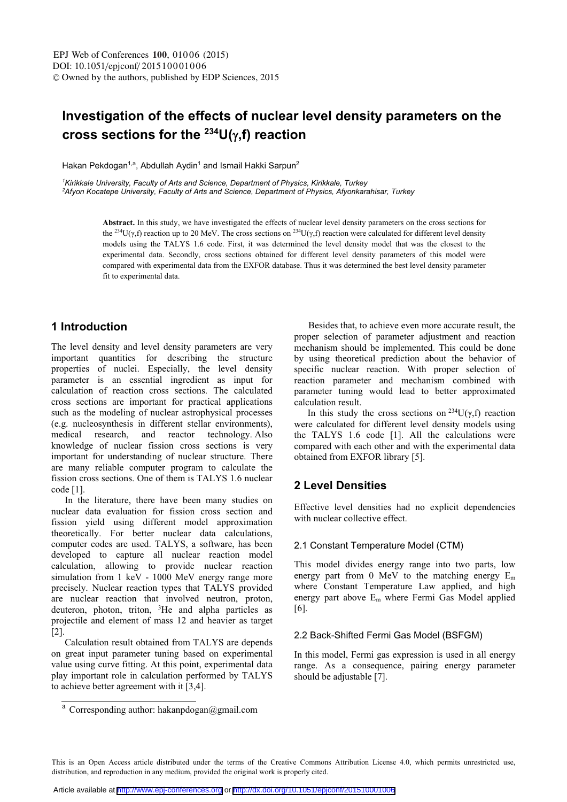# Investigation of the effects of nuclear level density parameters on the cross sections for the  $^{234}$ U( $\gamma$ ,f) reaction

Hakan Pekdogan<sup>1,a</sup>, Abdullah Aydin<sup>1</sup> and Ismail Hakki Sarpun<sup>2</sup>

*1 Kirikkale University, Faculty of Arts and Science, Department of Physics, Kirikkale, Turkey 2 Afyon Kocatepe University, Faculty of Arts and Science, Department of Physics, Afyonkarahisar, Turkey* 

> **Abstract.** In this study, we have investigated the effects of nuclear level density parameters on the cross sections for The abstract. In this study, we have investigated the encers of interest rever density parameters on the cross sections for the 234U( $\gamma$ ,f) reaction up to 20 MeV. The cross sections on  $234U(\gamma,f)$  reaction were calculated models using the TALYS 1.6 code. First, it was determined the level density model that was the closest to the experimental data. Secondly, cross sections obtained for different level density parameters of this model were experimental data. Secondly, cross sections obtained for directing text density parameters of disc induct were<br>compared with experimental data from the EXFOR database. Thus it was determined the best level density paramete Compared with experiments

## 1 Introduction

The level density and level density parameters are very The level density and level density parameters are very<br>important quantities for describing the structure<br>properties of nuclei. Especially, the level density properues of nuclei. Especially, the level defisity<br>parameter is an essential ingredient as input for parameter is an essential ingredient as input for<br>calculation of reaction cross sections. The calculated calculation of reaction cross sections. The calculated<br>cross sections are important for practical applications cross sections are important for practical applications<br>such as the modeling of nuclear astrophysical processes such as the modeling of nuclear astrophysical processes<br>(e.g. nucleosynthesis in different stellar environments), research, and reactor technology. Also medical medical research, and reactor technology. Also<br>knowledge of nuclear fission cross sections is very knowledge of nuclear fission cross sections is very<br>important for understanding of nuclear structure. There Important for understanding of nuclear structure. There<br>are many reliable computer program to calculate the ISSION Cross sections. One of them is TALYS 1.0 nuclear  $\frac{e}{r}$  [

the literature, there have been many studies on In the interature, there have been many studies on<br>nuclear data evaluation for fission cross section and nuclear data evaluation for fission cross section and<br>fission yield using different model approximation rission yield using dirierent model approximation<br>theoretically. For better nuclear data calculations, metrically. For better interest data calculations,<br>computer codes are used. TALYS, a software, has been computer codes are used. TALTS, a software, has been<br>developed to capture all nuclear reaction model developed to capture an nuclear reaction model<br>calculation, allowing to provide nuclear reaction ealculation, allowing to provide fuctear reaction<br>simulation from 1 keV - 1000 MeV energy range more simulation from T key - 1000 Mey energy range more<br>precisely. Nuclear reaction types that TALYS provided precisely. Nuclear reaction types that TALTS provided<br>are nuclear reaction that involved neutron, proton, are nuclear reaction that involved heuron, proton,<br>deuteron, photon, triton, <sup>3</sup>He and alpha particles as detection, photon, triton, The and alpha particles as<br>projectile and element of mass 12 and heavier as target

Calculation result obtained from TALYS are depends Laculation result obtained from TALTS are depends<br>on great input parameter tuning based on experimental value using curve inting. At this point, experimental data play important fore in calculation performed by TALTS

Besides that, to achieve even more accurate result, the Besides that, to achieve even more accurate result, the<br>proper selection of parameter adjustment and reaction zuon of parameter adjustment and reaction<br>should be implemented. This could be done mechanism should be implemented. This could be done<br>by using theoretical prediction about the behavior of by using meoretical prediction about the behavior of<br>specific nuclear reaction. With proper selection of specific nuclear reaction. With proper selection of<br>reaction parameter and mechanism combined with reaction parameter and mechanism comomed with<br>parameter tuning would lead to better approximated ։աւ<br>•

this study the cross sections on  $^{234}U(\gamma,f)$  reaction In this study the cross sections on  $\sim O(\gamma,1)$  reaction<br>were calculated for different level density models using were calculated for different lever density models using<br>the TALYS 1.6 code [1]. All the calculations were compared with each other and with the experimental data

## **2 Level Densities**

Effective level densities had no explicit dependencies with nuclear collective effect.

#### 2.1 Constant Temperature Model (CTM)

This model divides energy range into two parts, low This model divides energy range into two parts, low<br>energy part from 0 MeV to the matching energy  $E_m$ energy part from 0 MeV to the matching energy  $E_m$ <br>where Constant Temperature Law applied, and high where Constant Temperature Law applied, and high<br>energy part above  $E_m$  where Fermi Gas Model applied

## 2.2 Back-Shifted Fermi Gas Model (BSFGM)

In this model, Fermi gas expression is used in all energy In this model, Fermi gas expression is used in an energy<br>range. As a consequence, pairing energy parameter should be adjustable [7].

This is an Open Access article distributed under the terms of the Creative Commons Attribution License 4.0, which permits unrestricted use, distribution, and reproduction in any medium, provided the original work is properly cited.

<sup>&</sup>lt;sup>a</sup> Corresponding author: hakanpdogan@gmail.com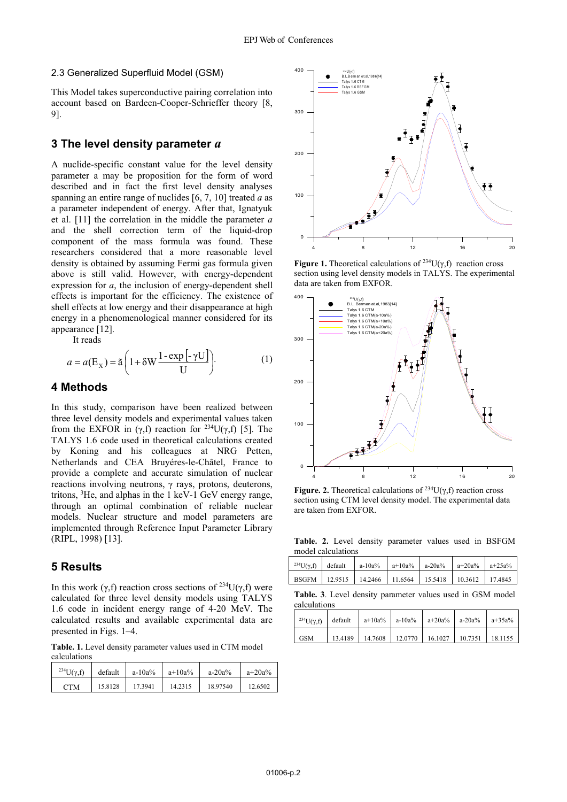#### 2.3 Generalized Superfluid Model (GSM)

This Model takes superconductive pairing correlation into account based on Bardeen-Cooper-Schrieffer theory [8, 91.

## 3 The level density parameter a

A nuclide-specific constant value for the level density parameter a may be proposition for the form of word described and in fact the first level density analyses spanning an entire range of nuclides [6, 7, 10] treated  $a$  as a parameter independent of energy. After that, Ignatyuk et al. [11] the correlation in the middle the parameter  $a$ and the shell correction term of the liquid-drop component of the mass formula was found. These researchers considered that a more reasonable level density is obtained by assuming Fermi gas formula given above is still valid. However, with energy-dependent expression for  $a$ , the inclusion of energy-dependent shell effects is important for the efficiency. The existence of shell effects at low energy and their disappearance at high energy in a phenomenological manner considered for its appearance [12].

It reads

$$
a = a(\mathbf{E}_X) = \tilde{\mathbf{a}} \left( 1 + \delta \mathbf{W} \frac{1 - \exp\left[-\gamma \mathbf{U}\right]}{\mathbf{U}} \right).
$$
 (1)

#### 4 Methods

In this study, comparison have been realized between three level density models and experimental values taken from the EXFOR in  $(\gamma, f)$  reaction for <sup>234</sup>U( $\gamma, f$ ) [5]. The TALYS 1.6 code used in theoretical calculations created by Koning and his colleagues at NRG Petten, Netherlands and CEA Bruyéres-le-Châtel, France to provide a complete and accurate simulation of nuclear reactions involving neutrons,  $\gamma$  rays, protons, deuterons, tritons, <sup>3</sup>He, and alphas in the 1 keV-1 GeV energy range, through an optimal combination of reliable nuclear models. Nuclear structure and model parameters are implemented through Reference Input Parameter Library (RIPL, 1998) [13].

## **5 Results**

In this work ( $\gamma$ ,f) reaction cross sections of <sup>234</sup>U( $\gamma$ ,f) were calculated for three level density models using TALYS 1.6 code in incident energy range of 4-20 MeV. The calculated results and available experimental data are presented in Figs. 1-4.

Table. 1. Level density parameter values used in CTM model calculations

| <sup>234</sup> U( $v.f$ ) | default | $a - 10a\%$ | $a+10a%$ | $a-20a%$ | $a+20a%$ |
|---------------------------|---------|-------------|----------|----------|----------|
| <b>CTM</b>                | 15.8128 | 17.3941     | 14.2315  | 18.97540 | 12.6502  |



**Figure 1.** Theoretical calculations of <sup>234</sup> $U(\gamma, f)$  reaction cross section using level density models in TALYS. The experimental data are taken from EXFOR.



Figure. 2. Theoretical calculations of <sup>234</sup>U( $\gamma$ ,f) reaction cross section using CTM level density model. The experimental data are taken from EXFOR.

Table. 2. Level density parameter values used in BSFGM model calculations

| <sup>234</sup> U( $\gamma$ ,f) default |                                                                   | $a-10a\%$ $a+10a\%$ $a-20a\%$ $a+20a\%$ $a+25a\%$ |  |
|----------------------------------------|-------------------------------------------------------------------|---------------------------------------------------|--|
|                                        | BSGFM   12.9515   14.2466   11.6564   15.5418   10.3612   17.4845 |                                                   |  |

Table. 3. Level density parameter values used in GSM model calculations

|            |  | <sup>234</sup> U( $\gamma$ ,f) default a+10a% a-10a% a+20a% a-20a% a+35a% |  |
|------------|--|---------------------------------------------------------------------------|--|
| <b>GSM</b> |  | 13.4189   14.7608   12.0770   16.1027   10.7351   18.1155                 |  |